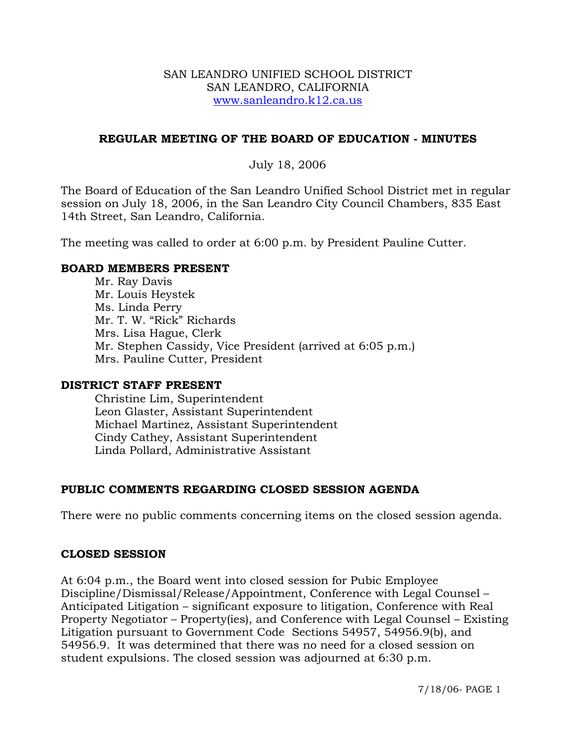#### SAN LEANDRO UNIFIED SCHOOL DISTRICT SAN LEANDRO, CALIFORNIA www.sanleandro.k12.ca.us

### **REGULAR MEETING OF THE BOARD OF EDUCATION - MINUTES**

### July 18, 2006

The Board of Education of the San Leandro Unified School District met in regular session on July 18, 2006, in the San Leandro City Council Chambers, 835 East 14th Street, San Leandro, California.

The meeting was called to order at 6:00 p.m. by President Pauline Cutter.

#### **BOARD MEMBERS PRESENT**

Mr. Ray Davis Mr. Louis Heystek Ms. Linda Perry Mr. T. W. "Rick" Richards Mrs. Lisa Hague, Clerk Mr. Stephen Cassidy, Vice President (arrived at 6:05 p.m.) Mrs. Pauline Cutter, President

#### **DISTRICT STAFF PRESENT**

Christine Lim, Superintendent Leon Glaster, Assistant Superintendent Michael Martinez, Assistant Superintendent Cindy Cathey, Assistant Superintendent Linda Pollard, Administrative Assistant

## **PUBLIC COMMENTS REGARDING CLOSED SESSION AGENDA**

There were no public comments concerning items on the closed session agenda.

#### **CLOSED SESSION**

At 6:04 p.m., the Board went into closed session for Pubic Employee Discipline/Dismissal/Release/Appointment, Conference with Legal Counsel – Anticipated Litigation – significant exposure to litigation, Conference with Real Property Negotiator – Property(ies), and Conference with Legal Counsel – Existing Litigation pursuant to Government Code Sections 54957, 54956.9(b), and 54956.9. It was determined that there was no need for a closed session on student expulsions. The closed session was adjourned at 6:30 p.m.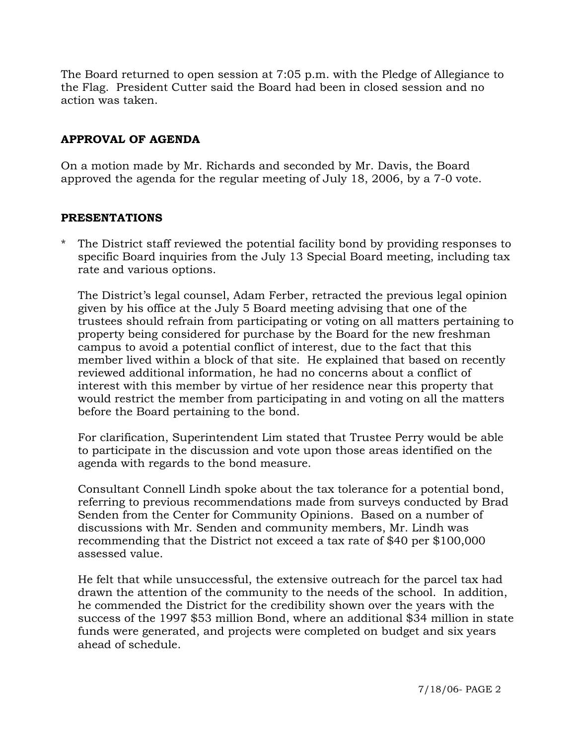The Board returned to open session at 7:05 p.m. with the Pledge of Allegiance to the Flag. President Cutter said the Board had been in closed session and no action was taken.

# **APPROVAL OF AGENDA**

On a motion made by Mr. Richards and seconded by Mr. Davis, the Board approved the agenda for the regular meeting of July 18, 2006, by a 7-0 vote.

## **PRESENTATIONS**

\* The District staff reviewed the potential facility bond by providing responses to specific Board inquiries from the July 13 Special Board meeting, including tax rate and various options.

The District's legal counsel, Adam Ferber, retracted the previous legal opinion given by his office at the July 5 Board meeting advising that one of the trustees should refrain from participating or voting on all matters pertaining to property being considered for purchase by the Board for the new freshman campus to avoid a potential conflict of interest, due to the fact that this member lived within a block of that site. He explained that based on recently reviewed additional information, he had no concerns about a conflict of interest with this member by virtue of her residence near this property that would restrict the member from participating in and voting on all the matters before the Board pertaining to the bond.

 For clarification, Superintendent Lim stated that Trustee Perry would be able to participate in the discussion and vote upon those areas identified on the agenda with regards to the bond measure.

Consultant Connell Lindh spoke about the tax tolerance for a potential bond, referring to previous recommendations made from surveys conducted by Brad Senden from the Center for Community Opinions. Based on a number of discussions with Mr. Senden and community members, Mr. Lindh was recommending that the District not exceed a tax rate of \$40 per \$100,000 assessed value.

He felt that while unsuccessful, the extensive outreach for the parcel tax had drawn the attention of the community to the needs of the school. In addition, he commended the District for the credibility shown over the years with the success of the 1997 \$53 million Bond, where an additional \$34 million in state funds were generated, and projects were completed on budget and six years ahead of schedule.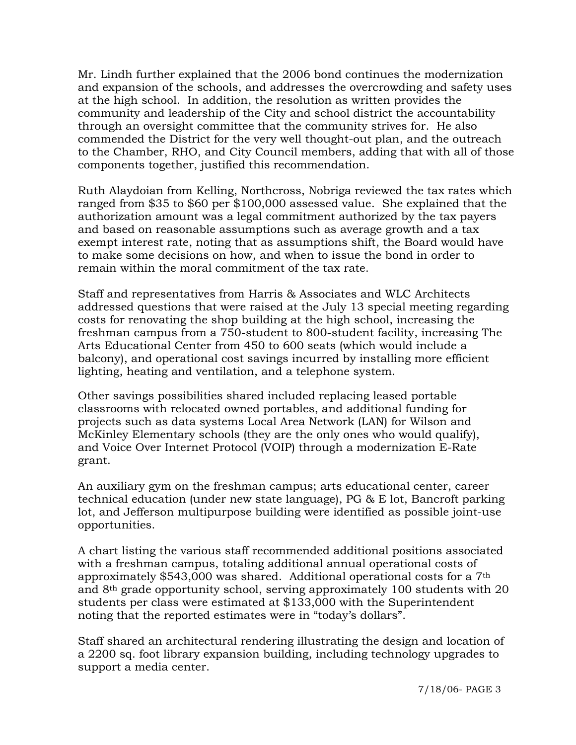Mr. Lindh further explained that the 2006 bond continues the modernization and expansion of the schools, and addresses the overcrowding and safety uses at the high school. In addition, the resolution as written provides the community and leadership of the City and school district the accountability through an oversight committee that the community strives for. He also commended the District for the very well thought-out plan, and the outreach to the Chamber, RHO, and City Council members, adding that with all of those components together, justified this recommendation.

Ruth Alaydoian from Kelling, Northcross, Nobriga reviewed the tax rates which ranged from \$35 to \$60 per \$100,000 assessed value. She explained that the authorization amount was a legal commitment authorized by the tax payers and based on reasonable assumptions such as average growth and a tax exempt interest rate, noting that as assumptions shift, the Board would have to make some decisions on how, and when to issue the bond in order to remain within the moral commitment of the tax rate.

Staff and representatives from Harris & Associates and WLC Architects addressed questions that were raised at the July 13 special meeting regarding costs for renovating the shop building at the high school, increasing the freshman campus from a 750-student to 800-student facility, increasing The Arts Educational Center from 450 to 600 seats (which would include a balcony), and operational cost savings incurred by installing more efficient lighting, heating and ventilation, and a telephone system.

Other savings possibilities shared included replacing leased portable classrooms with relocated owned portables, and additional funding for projects such as data systems Local Area Network (LAN) for Wilson and McKinley Elementary schools (they are the only ones who would qualify), and Voice Over Internet Protocol (VOIP) through a modernization E-Rate grant.

An auxiliary gym on the freshman campus; arts educational center, career technical education (under new state language), PG & E lot, Bancroft parking lot, and Jefferson multipurpose building were identified as possible joint-use opportunities.

 A chart listing the various staff recommended additional positions associated with a freshman campus, totaling additional annual operational costs of approximately \$543,000 was shared. Additional operational costs for a 7th and 8th grade opportunity school, serving approximately 100 students with 20 students per class were estimated at \$133,000 with the Superintendent noting that the reported estimates were in "today's dollars".

 Staff shared an architectural rendering illustrating the design and location of a 2200 sq. foot library expansion building, including technology upgrades to support a media center.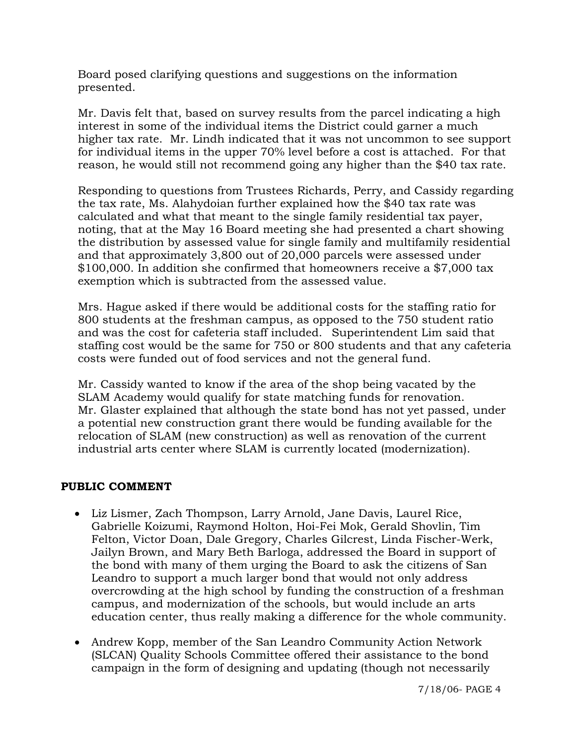Board posed clarifying questions and suggestions on the information presented.

Mr. Davis felt that, based on survey results from the parcel indicating a high interest in some of the individual items the District could garner a much higher tax rate. Mr. Lindh indicated that it was not uncommon to see support for individual items in the upper 70% level before a cost is attached. For that reason, he would still not recommend going any higher than the \$40 tax rate.

Responding to questions from Trustees Richards, Perry, and Cassidy regarding the tax rate, Ms. Alahydoian further explained how the \$40 tax rate was calculated and what that meant to the single family residential tax payer, noting, that at the May 16 Board meeting she had presented a chart showing the distribution by assessed value for single family and multifamily residential and that approximately 3,800 out of 20,000 parcels were assessed under \$100,000. In addition she confirmed that homeowners receive a \$7,000 tax exemption which is subtracted from the assessed value.

 Mrs. Hague asked if there would be additional costs for the staffing ratio for 800 students at the freshman campus, as opposed to the 750 student ratio and was the cost for cafeteria staff included. Superintendent Lim said that staffing cost would be the same for 750 or 800 students and that any cafeteria costs were funded out of food services and not the general fund.

 Mr. Cassidy wanted to know if the area of the shop being vacated by the SLAM Academy would qualify for state matching funds for renovation. Mr. Glaster explained that although the state bond has not yet passed, under a potential new construction grant there would be funding available for the relocation of SLAM (new construction) as well as renovation of the current industrial arts center where SLAM is currently located (modernization).

# **PUBLIC COMMENT**

- Liz Lismer, Zach Thompson, Larry Arnold, Jane Davis, Laurel Rice, Gabrielle Koizumi, Raymond Holton, Hoi-Fei Mok, Gerald Shovlin, Tim Felton, Victor Doan, Dale Gregory, Charles Gilcrest, Linda Fischer-Werk, Jailyn Brown, and Mary Beth Barloga, addressed the Board in support of the bond with many of them urging the Board to ask the citizens of San Leandro to support a much larger bond that would not only address overcrowding at the high school by funding the construction of a freshman campus, and modernization of the schools, but would include an arts education center, thus really making a difference for the whole community.
- Andrew Kopp, member of the San Leandro Community Action Network (SLCAN) Quality Schools Committee offered their assistance to the bond campaign in the form of designing and updating (though not necessarily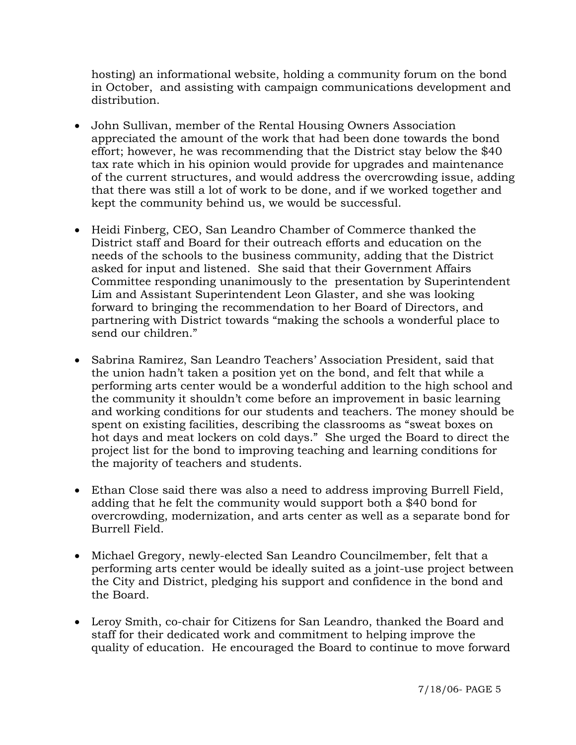hosting) an informational website, holding a community forum on the bond in October, and assisting with campaign communications development and distribution.

- John Sullivan, member of the Rental Housing Owners Association appreciated the amount of the work that had been done towards the bond effort; however, he was recommending that the District stay below the \$40 tax rate which in his opinion would provide for upgrades and maintenance of the current structures, and would address the overcrowding issue, adding that there was still a lot of work to be done, and if we worked together and kept the community behind us, we would be successful.
- Heidi Finberg, CEO, San Leandro Chamber of Commerce thanked the District staff and Board for their outreach efforts and education on the needs of the schools to the business community, adding that the District asked for input and listened. She said that their Government Affairs Committee responding unanimously to the presentation by Superintendent Lim and Assistant Superintendent Leon Glaster, and she was looking forward to bringing the recommendation to her Board of Directors, and partnering with District towards "making the schools a wonderful place to send our children."
- Sabrina Ramirez, San Leandro Teachers' Association President, said that the union hadn't taken a position yet on the bond, and felt that while a performing arts center would be a wonderful addition to the high school and the community it shouldn't come before an improvement in basic learning and working conditions for our students and teachers. The money should be spent on existing facilities, describing the classrooms as "sweat boxes on hot days and meat lockers on cold days." She urged the Board to direct the project list for the bond to improving teaching and learning conditions for the majority of teachers and students.
- Ethan Close said there was also a need to address improving Burrell Field, adding that he felt the community would support both a \$40 bond for overcrowding, modernization, and arts center as well as a separate bond for Burrell Field.
- Michael Gregory, newly-elected San Leandro Councilmember, felt that a performing arts center would be ideally suited as a joint-use project between the City and District, pledging his support and confidence in the bond and the Board.
- Leroy Smith, co-chair for Citizens for San Leandro, thanked the Board and staff for their dedicated work and commitment to helping improve the quality of education. He encouraged the Board to continue to move forward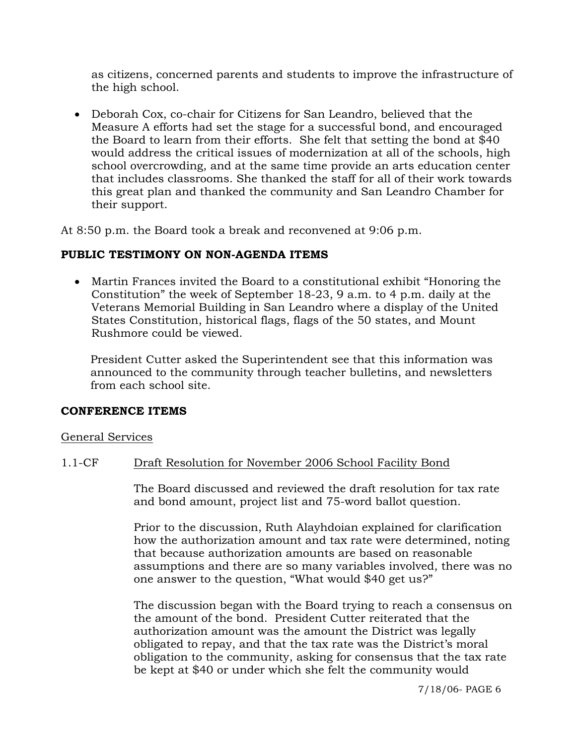as citizens, concerned parents and students to improve the infrastructure of the high school.

• Deborah Cox, co-chair for Citizens for San Leandro, believed that the Measure A efforts had set the stage for a successful bond, and encouraged the Board to learn from their efforts. She felt that setting the bond at \$40 would address the critical issues of modernization at all of the schools, high school overcrowding, and at the same time provide an arts education center that includes classrooms. She thanked the staff for all of their work towards this great plan and thanked the community and San Leandro Chamber for their support.

At 8:50 p.m. the Board took a break and reconvened at 9:06 p.m.

## **PUBLIC TESTIMONY ON NON-AGENDA ITEMS**

• Martin Frances invited the Board to a constitutional exhibit "Honoring the Constitution" the week of September 18-23, 9 a.m. to 4 p.m. daily at the Veterans Memorial Building in San Leandro where a display of the United States Constitution, historical flags, flags of the 50 states, and Mount Rushmore could be viewed.

 President Cutter asked the Superintendent see that this information was announced to the community through teacher bulletins, and newsletters from each school site.

## **CONFERENCE ITEMS**

## General Services

## 1.1-CF Draft Resolution for November 2006 School Facility Bond

The Board discussed and reviewed the draft resolution for tax rate and bond amount, project list and 75-word ballot question.

Prior to the discussion, Ruth Alayhdoian explained for clarification how the authorization amount and tax rate were determined, noting that because authorization amounts are based on reasonable assumptions and there are so many variables involved, there was no one answer to the question, "What would \$40 get us?"

The discussion began with the Board trying to reach a consensus on the amount of the bond. President Cutter reiterated that the authorization amount was the amount the District was legally obligated to repay, and that the tax rate was the District's moral obligation to the community, asking for consensus that the tax rate be kept at \$40 or under which she felt the community would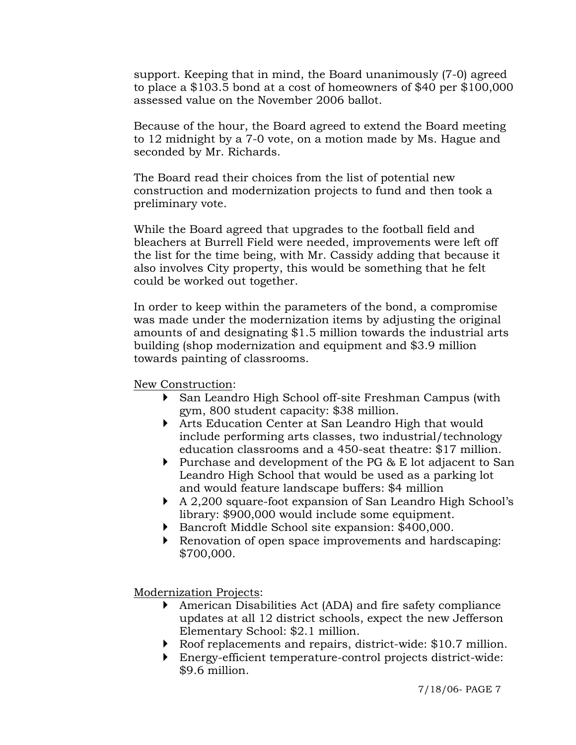support. Keeping that in mind, the Board unanimously (7-0) agreed to place a \$103.5 bond at a cost of homeowners of \$40 per \$100,000 assessed value on the November 2006 ballot.

Because of the hour, the Board agreed to extend the Board meeting to 12 midnight by a 7-0 vote, on a motion made by Ms. Hague and seconded by Mr. Richards.

The Board read their choices from the list of potential new construction and modernization projects to fund and then took a preliminary vote.

While the Board agreed that upgrades to the football field and bleachers at Burrell Field were needed, improvements were left off the list for the time being, with Mr. Cassidy adding that because it also involves City property, this would be something that he felt could be worked out together.

In order to keep within the parameters of the bond, a compromise was made under the modernization items by adjusting the original amounts of and designating \$1.5 million towards the industrial arts building (shop modernization and equipment and \$3.9 million towards painting of classrooms.

New Construction:

- ` San Leandro High School off-site Freshman Campus (with gym, 800 student capacity: \$38 million.
- ` Arts Education Center at San Leandro High that would include performing arts classes, two industrial/technology education classrooms and a 450-seat theatre: \$17 million.
- $\triangleright$  Purchase and development of the PG & E lot adjacent to San Leandro High School that would be used as a parking lot and would feature landscape buffers: \$4 million
- A 2,200 square-foot expansion of San Leandro High School's library: \$900,000 would include some equipment.
- ` Bancroft Middle School site expansion: \$400,000.
- ` Renovation of open space improvements and hardscaping: \$700,000.

Modernization Projects:

- ` American Disabilities Act (ADA) and fire safety compliance updates at all 12 district schools, expect the new Jefferson Elementary School: \$2.1 million.
- Roof replacements and repairs, district-wide: \$10.7 million.
- ` Energy-efficient temperature-control projects district-wide: \$9.6 million.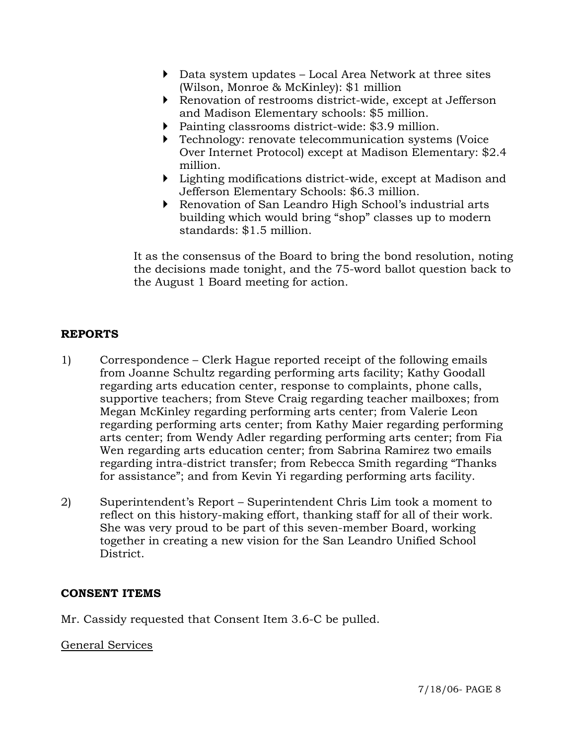- ` Data system updates Local Area Network at three sites (Wilson, Monroe & McKinley): \$1 million
- ` Renovation of restrooms district-wide, except at Jefferson and Madison Elementary schools: \$5 million.
- $\triangleright$  Painting classrooms district-wide: \$3.9 million.
- $\triangleright$  Technology: renovate telecommunication systems (Voice Over Internet Protocol) except at Madison Elementary: \$2.4 million.
- $\triangleright$  Lighting modifications district-wide, except at Madison and Jefferson Elementary Schools: \$6.3 million.
- ` Renovation of San Leandro High School's industrial arts building which would bring "shop" classes up to modern standards: \$1.5 million.

It as the consensus of the Board to bring the bond resolution, noting the decisions made tonight, and the 75-word ballot question back to the August 1 Board meeting for action.

# **REPORTS**

- 1) Correspondence Clerk Hague reported receipt of the following emails from Joanne Schultz regarding performing arts facility; Kathy Goodall regarding arts education center, response to complaints, phone calls, supportive teachers; from Steve Craig regarding teacher mailboxes; from Megan McKinley regarding performing arts center; from Valerie Leon regarding performing arts center; from Kathy Maier regarding performing arts center; from Wendy Adler regarding performing arts center; from Fia Wen regarding arts education center; from Sabrina Ramirez two emails regarding intra-district transfer; from Rebecca Smith regarding "Thanks for assistance"; and from Kevin Yi regarding performing arts facility.
- 2) Superintendent's Report Superintendent Chris Lim took a moment to reflect on this history-making effort, thanking staff for all of their work. She was very proud to be part of this seven-member Board, working together in creating a new vision for the San Leandro Unified School District.

#### **CONSENT ITEMS**

Mr. Cassidy requested that Consent Item 3.6-C be pulled.

#### General Services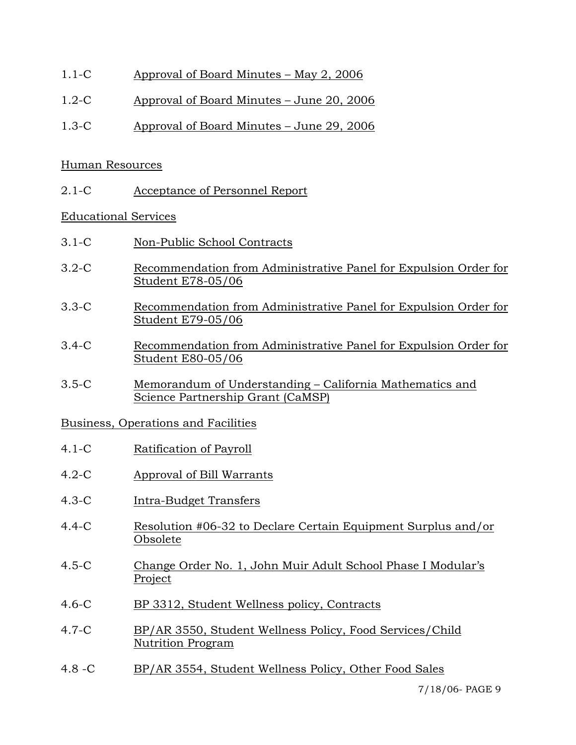- 1.1-C Approval of Board Minutes May 2, 2006
- 1.2-C Approval of Board Minutes June 20, 2006
- 1.3-C Approval of Board Minutes June 29, 2006

### Human Resources

2.1-C Acceptance of Personnel Report

## Educational Services

- 3.1-C Non-Public School Contracts
- 3.2-C Recommendation from Administrative Panel for Expulsion Order for Student E78-05/06
- 3.3-C Recommendation from Administrative Panel for Expulsion Order for Student E79-05/06
- 3.4-C Recommendation from Administrative Panel for Expulsion Order for Student E80-05/06
- 3.5-C Memorandum of Understanding California Mathematics and Science Partnership Grant (CaMSP)

## Business, Operations and Facilities

- 4.1-C Ratification of Payroll
- 4.2-C Approval of Bill Warrants
- 4.3-C Intra-Budget Transfers
- 4.4-C Resolution #06-32 to Declare Certain Equipment Surplus and/or Obsolete
- 4.5-C Change Order No. 1, John Muir Adult School Phase I Modular's Project
- 4.6-C BP 3312, Student Wellness policy, Contracts
- 4.7-C BP/AR 3550, Student Wellness Policy, Food Services/Child Nutrition Program
- 4.8 -C BP/AR 3554, Student Wellness Policy, Other Food Sales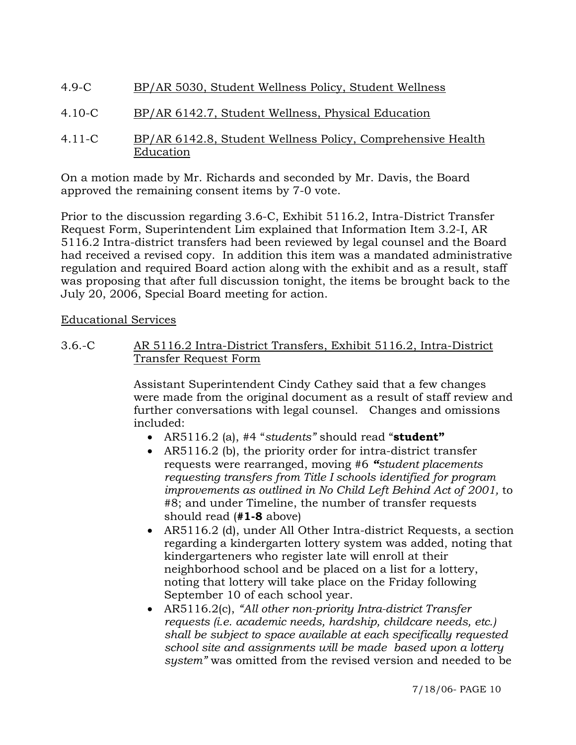- 4.9-C BP/AR 5030, Student Wellness Policy, Student Wellness
- 4.10-C BP/AR 6142.7, Student Wellness, Physical Education
- 4.11-C BP/AR 6142.8, Student Wellness Policy, Comprehensive Health Education

On a motion made by Mr. Richards and seconded by Mr. Davis, the Board approved the remaining consent items by 7-0 vote.

Prior to the discussion regarding 3.6-C, Exhibit 5116.2, Intra-District Transfer Request Form, Superintendent Lim explained that Information Item 3.2-I, AR 5116.2 Intra-district transfers had been reviewed by legal counsel and the Board had received a revised copy. In addition this item was a mandated administrative regulation and required Board action along with the exhibit and as a result, staff was proposing that after full discussion tonight, the items be brought back to the July 20, 2006, Special Board meeting for action.

## Educational Services

3.6.-C AR 5116.2 Intra-District Transfers, Exhibit 5116.2, Intra-District Transfer Request Form

> Assistant Superintendent Cindy Cathey said that a few changes were made from the original document as a result of staff review and further conversations with legal counsel. Changes and omissions included:

- AR5116.2 (a), #4 "*students"* should read "**student"**
- AR5116.2 (b), the priority order for intra-district transfer requests were rearranged, moving #6 *"student placements requesting transfers from Title I schools identified for program improvements as outlined in No Child Left Behind Act of 2001,* to #8; and under Timeline, the number of transfer requests should read (**#1-8** above)
- AR5116.2 (d), under All Other Intra-district Requests, a section regarding a kindergarten lottery system was added, noting that kindergarteners who register late will enroll at their neighborhood school and be placed on a list for a lottery, noting that lottery will take place on the Friday following September 10 of each school year.
- AR5116.2(c), *"All other non-priority Intra-district Transfer requests (i.e. academic needs, hardship, childcare needs, etc.) shall be subject to space available at each specifically requested school site and assignments will be made based upon a lottery system"* was omitted from the revised version and needed to be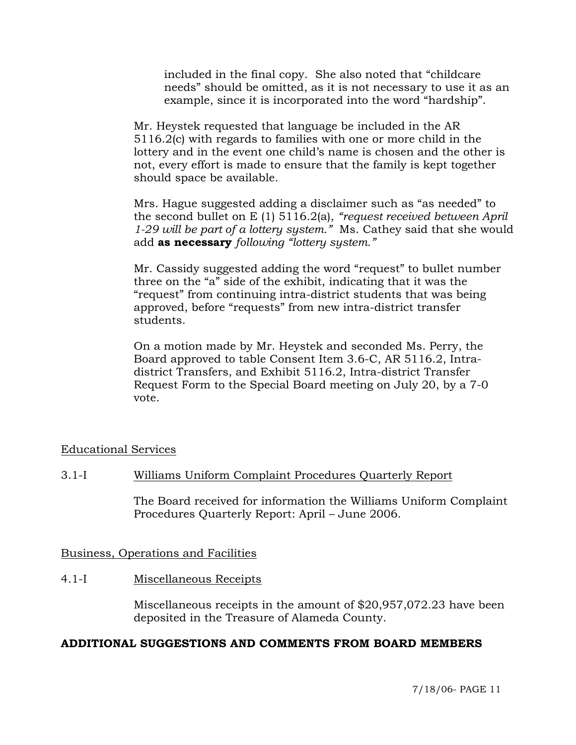included in the final copy. She also noted that "childcare needs" should be omitted, as it is not necessary to use it as an example, since it is incorporated into the word "hardship".

Mr. Heystek requested that language be included in the AR 5116.2(c) with regards to families with one or more child in the lottery and in the event one child's name is chosen and the other is not, every effort is made to ensure that the family is kept together should space be available.

Mrs. Hague suggested adding a disclaimer such as "as needed" to the second bullet on E (1) 5116.2(a), *"request received between April 1-29 will be part of a lottery system."* Ms. Cathey said that she would add **as necessary** *following "lottery system."*

Mr. Cassidy suggested adding the word "request" to bullet number three on the "a" side of the exhibit, indicating that it was the "request" from continuing intra-district students that was being approved, before "requests" from new intra-district transfer students.

On a motion made by Mr. Heystek and seconded Ms. Perry, the Board approved to table Consent Item 3.6-C, AR 5116.2, Intradistrict Transfers, and Exhibit 5116.2, Intra-district Transfer Request Form to the Special Board meeting on July 20, by a 7-0 vote.

## Educational Services

## 3.1-I Williams Uniform Complaint Procedures Quarterly Report

The Board received for information the Williams Uniform Complaint Procedures Quarterly Report: April – June 2006.

#### Business, Operations and Facilities

#### 4.1-I Miscellaneous Receipts

Miscellaneous receipts in the amount of \$20,957,072.23 have been deposited in the Treasure of Alameda County.

#### **ADDITIONAL SUGGESTIONS AND COMMENTS FROM BOARD MEMBERS**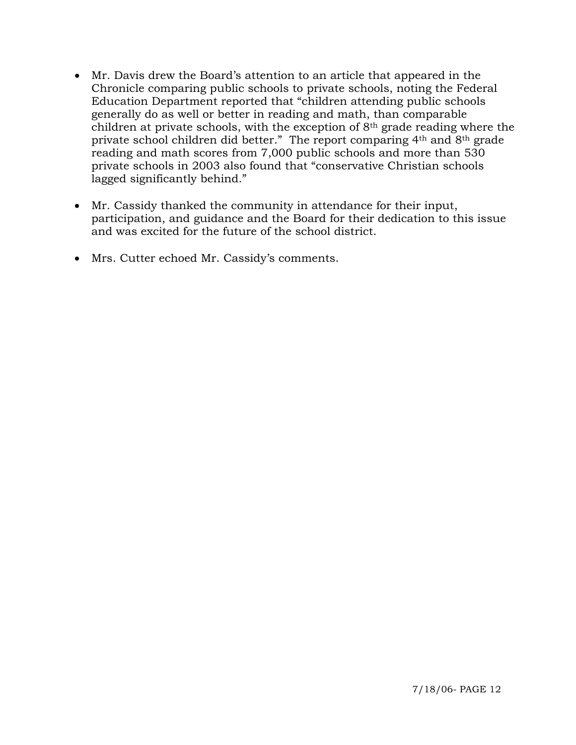- Mr. Davis drew the Board's attention to an article that appeared in the Chronicle comparing public schools to private schools, noting the Federal Education Department reported that "children attending public schools generally do as well or better in reading and math, than comparable children at private schools, with the exception of 8th grade reading where the private school children did better." The report comparing 4th and 8th grade reading and math scores from 7,000 public schools and more than 530 private schools in 2003 also found that "conservative Christian schools lagged significantly behind."
- Mr. Cassidy thanked the community in attendance for their input, participation, and guidance and the Board for their dedication to this issue and was excited for the future of the school district.
- Mrs. Cutter echoed Mr. Cassidy's comments.